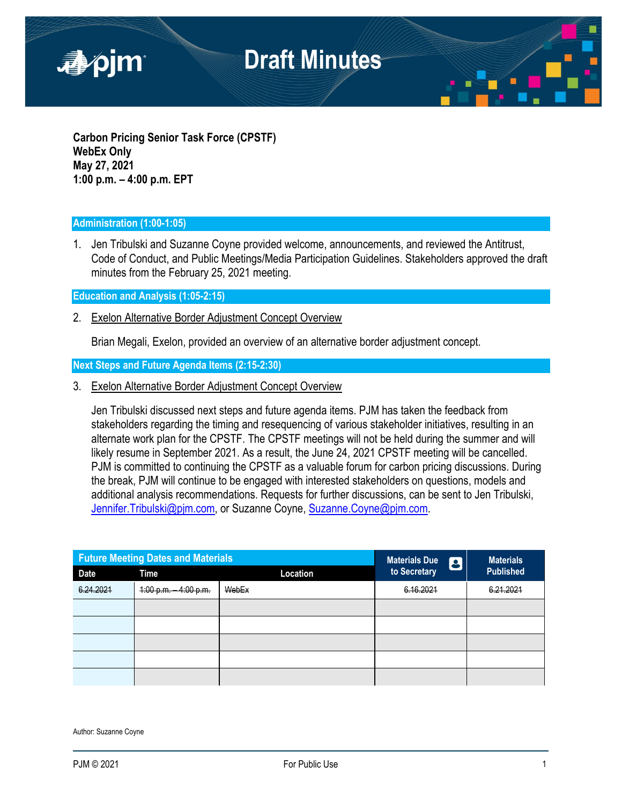

**Carbon Pricing Senior Task Force (CPSTF) WebEx Only May 27, 2021 1:00 p.m. – 4:00 p.m. EPT**

### **Administration (1:00-1:05)**

1. Jen Tribulski and Suzanne Coyne provided welcome, announcements, and reviewed the Antitrust, Code of Conduct, and Public Meetings/Media Participation Guidelines. Stakeholders approved the draft minutes from the February 25, 2021 meeting.

**Education and Analysis (1:05-2:15)**

2. Exelon Alternative Border Adjustment Concept Overview

Brian Megali, Exelon, provided an overview of an alternative border adjustment concept.

**Next Steps and Future Agenda Items (2:15-2:30)**

3. Exelon Alternative Border Adjustment Concept Overview

Jen Tribulski discussed next steps and future agenda items. PJM has taken the feedback from stakeholders regarding the timing and resequencing of various stakeholder initiatives, resulting in an alternate work plan for the CPSTF. The CPSTF meetings will not be held during the summer and will likely resume in September 2021. As a result, the June 24, 2021 CPSTF meeting will be cancelled. PJM is committed to continuing the CPSTF as a valuable forum for carbon pricing discussions. During the break, PJM will continue to be engaged with interested stakeholders on questions, models and additional analysis recommendations. Requests for further discussions, can be sent to Jen Tribulski, [Jennifer.Tribulski@pjm.com,](mailto:Jennifer.Tribulski@pjm.com) or Suzanne Coyne, [Suzanne.Coyne@pjm.com.](mailto:Suzanne.Coyne@pjm.com)

| <b>Future Meeting Dates and Materials</b> |                        |          | <b>Materials Due</b><br>$\boldsymbol{\beta}$ | <b>Materials</b> |
|-------------------------------------------|------------------------|----------|----------------------------------------------|------------------|
| <b>Date</b>                               | Time                   | Location | to Secretary                                 | <b>Published</b> |
| 6.24.2021                                 | 4:00 p.m.<br>4:00 p.m. | WebEx    | 6.16.2021                                    | 6.21.2021        |
|                                           |                        |          |                                              |                  |
|                                           |                        |          |                                              |                  |
|                                           |                        |          |                                              |                  |
|                                           |                        |          |                                              |                  |
|                                           |                        |          |                                              |                  |

Author: Suzanne Coyne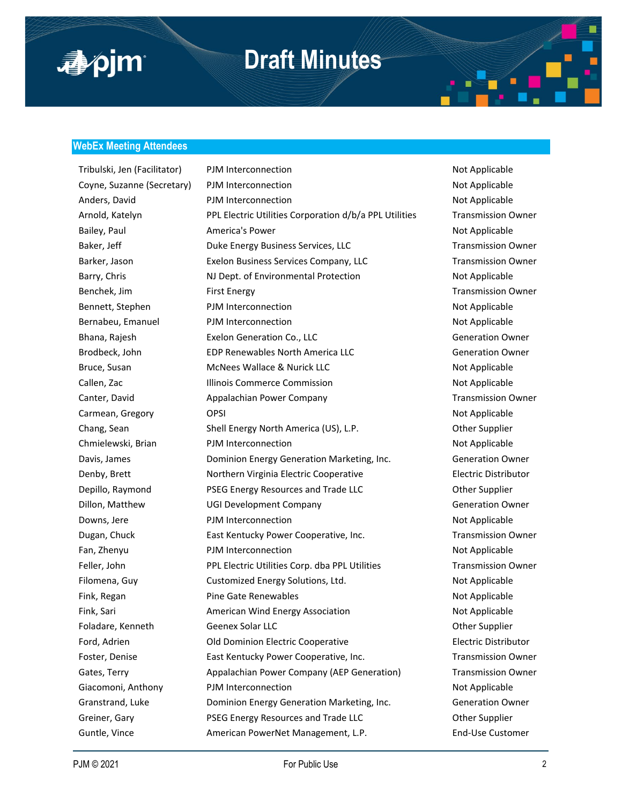

### **Draft Minutes**

#### **WebEx Meeting Attendees**

Tribulski, Jen (Facilitator) PJM Interconnection Not Applicable Not Applicable Coyne, Suzanne (Secretary) PJM Interconnection Not Applicable Anders, David **PJM Interconnection** and the Not Applicable Arnold, Katelyn PPL Electric Utilities Corporation d/b/a PPL Utilities Transmission Owner Bailey, Paul **America's Power** Not Applicable Not Applicable Baker, Jeff **Duke Energy Business Services, LLC** Transmission Owner Barker, Jason **Exelon Business Services Company, LLC** Transmission Owner Barry, Chris **NJ Dept. of Environmental Protection** Not Applicable Benchek, Jim First Energy Transmission Owner Bennett, Stephen **PJM Interconnection PTM** Interconnection Not Applicable Bernabeu, Emanuel PJM Interconnection Not Applicable Bhana, Rajesh **Exelon Generation Co., LLC** Generation Counter and Generation Owner Brodbeck, John EDP Renewables North America LLC Generation Owner Bruce, Susan **McNees Wallace & Nurick LLC** Not Applicable Callen, Zac **Illinois Commerce Commission** Not Applicable Canter, David **Appalachian Power Company** Transmission Owner Carmean, Gregory CPSI OPSI Not Applicable Chang, Sean Shell Energy North America (US), L.P. Chang, Sean Other Supplier Chmielewski, Brian **PJM Interconnection** and Not Applicable Davis, James Dominion Energy Generation Marketing, Inc. Generation Owner Denby, Brett Northern Virginia Electric Cooperative Electric Distributor Depillo, Raymond **PSEG Energy Resources and Trade LLC Communist Constanting Communist Communist Property** Communist Communist Communist Communist Communist Communist Communist Communist Communist Communist Communist Comm Dillon, Matthew **DIGI Development Company** Generation Owner Downs, Jere **PJM Interconnection** and the Mot Applicable Dugan, Chuck **East Kentucky Power Cooperative, Inc.** Transmission Owner Fan, Zhenyu **PJM Interconnection** Not Applicable Feller, John **PPL Electric Utilities Corp.** dba PPL Utilities **Transmission Owner** Filomena, Guy **Customized Energy Solutions, Ltd.** Not Applicable Fink, Regan **Pine Gate Renewables Pine Gate Renewables** Not Applicable Fink, Sari **American Wind Energy Association** Not Applicable Not Applicable Foladare, Kenneth Geenex Solar LLC Genex Solar Human Channel Cher Supplier Ford, Adrien Old Dominion Electric Cooperative Electric Distributor Foster, Denise **East Kentucky Power Cooperative, Inc.** Transmission Owner Gates, Terry **Appalachian Power Company (AEP Generation)** Transmission Owner Giacomoni, Anthony PJM Interconnection Not Applicable Granstrand, Luke Dominion Energy Generation Marketing, Inc. Generation Owner Greiner, Gary **PSEG Energy Resources and Trade LLC Communist Construction** Other Supplier Guntle, Vince **American PowerNet Management, L.P.** End-Use Customer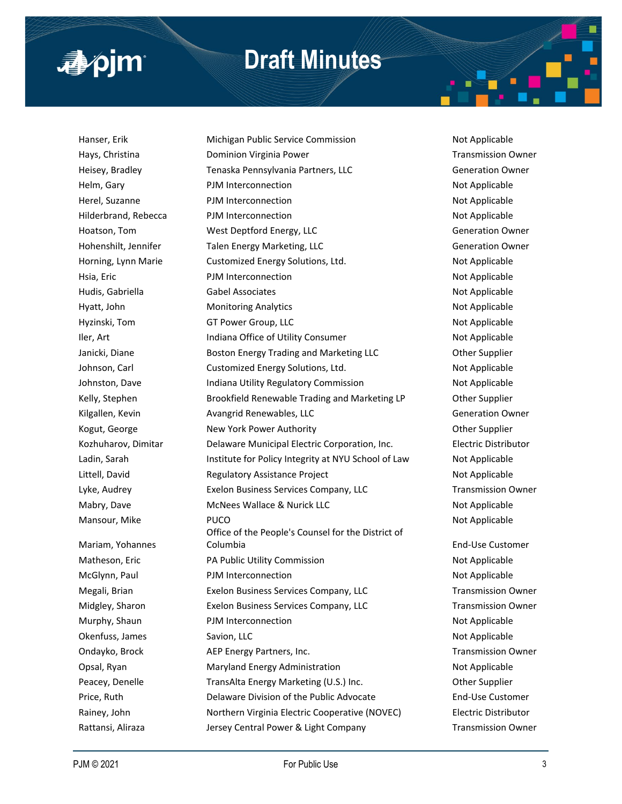

## **Draft Minutes**

Mariam, Yohannes

Hanser, Erik **Michigan Public Service Commission** Not Applicable Hays, Christina **Notain Christian Communistion Communisties** Dominion Virginia Power Transmission Owner Heisey, Bradley **Tenaska Pennsylvania Partners, LLC** Generation Owner Helm, Gary **PJM Interconnection** Not Applicable Herel, Suzanne **Not Applicable** PJM Interconnection **Not Applicable** Hilderbrand, Rebecca **PJM Interconnection** Not Applicable Hoatson, Tom **West Deptford Energy, LLC** Generation Owner Hohenshilt, Jennifer Talen Energy Marketing, LLC Generation Owner Horning, Lynn Marie **Customized Energy Solutions, Ltd.** Not Applicable Hsia, Eric **Example 2018** PJM Interconnection **Not Applicable** Not Applicable Hudis, Gabriella **Gabel Associates** Not Applicable Not Applicable Hyatt, John **Monitoring Analytics** Not Applicable Not Applicable Hyzinski, Tom GT Power Group, LLC Not Applicable Not Applicable Iler, Art **Indiana Office of Utility Consumer** Not Applicable Janicki, Diane **Boston Energy Trading and Marketing LLC Charging Other Supplier** Johnson, Carl **Customized Energy Solutions, Ltd.** Not Applicable Johnston, Dave **Indiana Utility Regulatory Commission** Not Applicable Kelly, Stephen **Brookfield Renewable Trading and Marketing LP** Other Supplier Kilgallen, Kevin **Avangrid Renewables, LLC** Communist Communist Communist Communist Communist Communist Communist Kogut, George **New York Power Authority New York Power Authority New York Power Authority Channel Authority** Kozhuharov, Dimitar **Delaware Municipal Electric Corporation**, Inc. **Electric Distributor** Ladin, Sarah **Institute for Policy Integrity at NYU School of Law** Not Applicable Littell, David **Regulatory Assistance Project** Not Applicable Lyke, Audrey **Exelon Business Services Company, LLC** Transmission Owner Mabry, Dave **MacNees Wallace & Nurick LLC** Not Applicable Mansour, Mike **PUCO** PUCO **Not Applicable** Not Applicable Office of the People's Counsel for the District of Columbia End-Use Customer Matheson, Eric **Example 20 For PA Public Utility Commission** Not Applicable McGlynn, Paul **PJM Interconnection** Not Applicable Megali, Brian **Exelon Business Services Company, LLC** Transmission Owner Midgley, Sharon **Exelon Business Services Company, LLC** Transmission Owner Murphy, Shaun **PJM Interconnection** Not Applicable Okenfuss, James Savion, LLC **Saxion, LLC** Not Applicable Ondayko, Brock **AEP Energy Partners, Inc.** The State of Transmission Owner Opsal, Ryan **Maryland Energy Administration** Mother Not Applicable Peacey, Denelle **TransAlta Energy Marketing (U.S.) Inc.** Other Supplier Price, Ruth Delaware Division of the Public Advocate End-Use Customer Rainey, John **Northern Virginia Electric Cooperative (NOVEC)** Electric Distributor

Rattansi, Aliraza **Mattansi, Aliraza Mattansi, Aliraza** Jersey Central Power & Light Company Transmission Owner